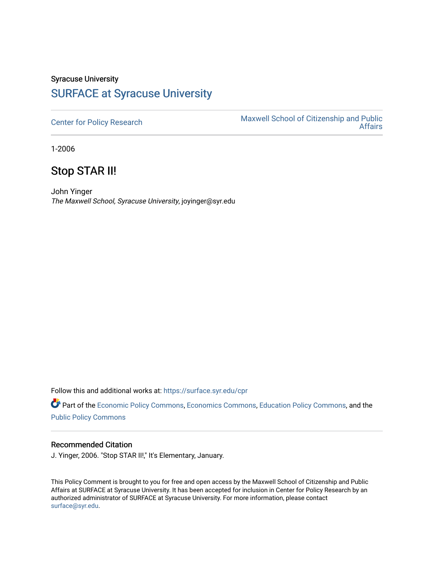## Syracuse University [SURFACE at Syracuse University](https://surface.syr.edu/)

[Center for Policy Research](https://surface.syr.edu/cpr) Maxwell School of Citizenship and Public [Affairs](https://surface.syr.edu/maxwell) 

1-2006

## Stop STAR II!

John Yinger The Maxwell School, Syracuse University, joyinger@syr.edu

Follow this and additional works at: [https://surface.syr.edu/cpr](https://surface.syr.edu/cpr?utm_source=surface.syr.edu%2Fcpr%2F341&utm_medium=PDF&utm_campaign=PDFCoverPages) 

Part of the [Economic Policy Commons](http://network.bepress.com/hgg/discipline/1025?utm_source=surface.syr.edu%2Fcpr%2F341&utm_medium=PDF&utm_campaign=PDFCoverPages), [Economics Commons,](http://network.bepress.com/hgg/discipline/340?utm_source=surface.syr.edu%2Fcpr%2F341&utm_medium=PDF&utm_campaign=PDFCoverPages) [Education Policy Commons](http://network.bepress.com/hgg/discipline/1026?utm_source=surface.syr.edu%2Fcpr%2F341&utm_medium=PDF&utm_campaign=PDFCoverPages), and the [Public Policy Commons](http://network.bepress.com/hgg/discipline/400?utm_source=surface.syr.edu%2Fcpr%2F341&utm_medium=PDF&utm_campaign=PDFCoverPages)

## Recommended Citation

J. Yinger, 2006. "Stop STAR II!," It's Elementary, January.

This Policy Comment is brought to you for free and open access by the Maxwell School of Citizenship and Public Affairs at SURFACE at Syracuse University. It has been accepted for inclusion in Center for Policy Research by an authorized administrator of SURFACE at Syracuse University. For more information, please contact [surface@syr.edu.](mailto:surface@syr.edu)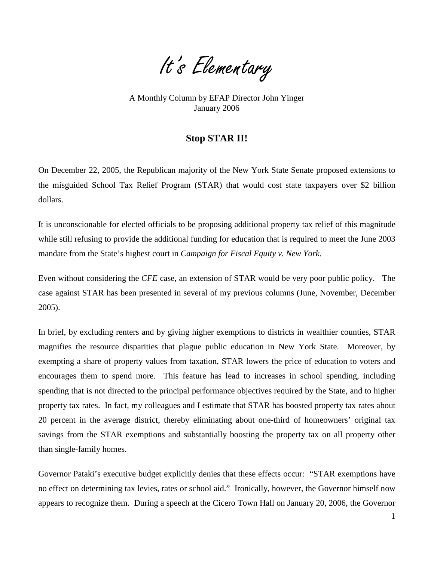It's Elementary

A Monthly Column by EFAP Director John Yinger January 2006

## **Stop STAR II!**

On December 22, 2005, the Republican majority of the New York State Senate proposed extensions to the misguided School Tax Relief Program (STAR) that would cost state taxpayers over \$2 billion dollars.

It is unconscionable for elected officials to be proposing additional property tax relief of this magnitude while still refusing to provide the additional funding for education that is required to meet the June 2003 mandate from the State's highest court in *Campaign for Fiscal Equity v. New York*.

Even without considering the *CFE* case, an extension of STAR would be very poor public policy. The case against STAR has been presented in several of my previous columns (June, November, December 2005).

In brief, by excluding renters and by giving higher exemptions to districts in wealthier counties, STAR magnifies the resource disparities that plague public education in New York State. Moreover, by exempting a share of property values from taxation, STAR lowers the price of education to voters and encourages them to spend more. This feature has lead to increases in school spending, including spending that is not directed to the principal performance objectives required by the State, and to higher property tax rates. In fact, my colleagues and I estimate that STAR has boosted property tax rates about 20 percent in the average district, thereby eliminating about one-third of homeowners' original tax savings from the STAR exemptions and substantially boosting the property tax on all property other than single-family homes.

<span id="page-1-0"></span>Governor Pataki's executive budget explicitly denies that these effects occur: "STAR exemptions have no effect on determining tax levies, rates or school aid." Ironically, however, the Governor himself now appears to recognize them. During a speech at the Cicero Town Hall on January 20, 2006, the Governor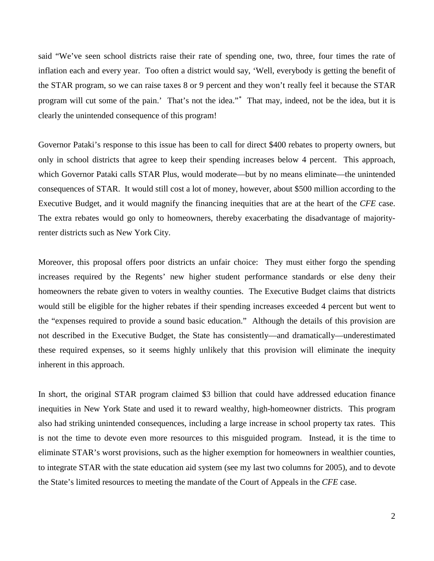said "We've seen school districts raise their rate of spending one, two, three, four times the rate of inflation each and every year. Too often a district would say, 'Well, everybody is getting the benefit of the STAR program, so we can raise taxes 8 or 9 percent and they won't really feel it because the STAR program will cut some of the pain.' That's not the idea."<sup>\*</sup> That may, indeed, not be the idea, but it is clearly the unintended consequence of this program!

Governor Pataki's response to this issue has been to call for direct \$400 rebates to property owners, but only in school districts that agree to keep their spending increases below 4 percent. This approach, which Governor Pataki calls STAR Plus, would moderate—but by no means eliminate—the unintended consequences of STAR. It would still cost a lot of money, however, about \$500 million according to the Executive Budget, and it would magnify the financing inequities that are at the heart of the *CFE* case. The extra rebates would go only to homeowners, thereby exacerbating the disadvantage of majorityrenter districts such as New York City.

Moreover, this proposal offers poor districts an unfair choice: They must either forgo the spending increases required by the Regents' new higher student performance standards or else deny their homeowners the rebate given to voters in wealthy counties. The Executive Budget claims that districts would still be eligible for the higher rebates if their spending increases exceeded 4 percent but went to the "expenses required to provide a sound basic education." Although the details of this provision are not described in the Executive Budget, the State has consistently—and dramatically—underestimated these required expenses, so it seems highly unlikely that this provision will eliminate the inequity inherent in this approach.

In short, the original STAR program claimed \$3 billion that could have addressed education finance inequities in New York State and used it to reward wealthy, high-homeowner districts. This program also had striking unintended consequences, including a large increase in school property tax rates. This is not the time to devote even more resources to this misguided program. Instead, it is the time to eliminate STAR's worst provisions, such as the higher exemption for homeowners in wealthier counties, to integrate STAR with the state education aid system (see my last two columns for 2005), and to devote the State's limited resources to meeting the mandate of the Court of Appeals in the *CFE* case.